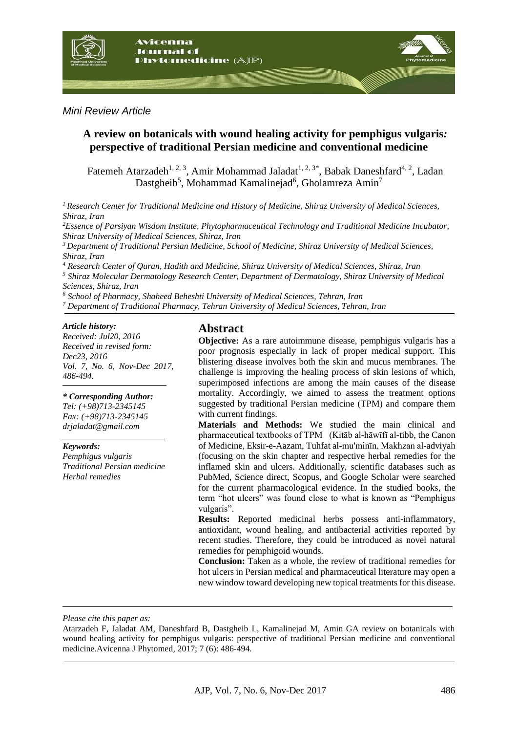

*Mini Review Article*

## **A review on botanicals with wound healing activity for pemphigus vulgaris***:* **perspective of traditional Persian medicine and conventional medicine**

Fatemeh Atarzadeh<sup>1, 2, 3</sup>, Amir Mohammad Jaladat<sup>1, 2, 3\*</sup>, Babak Daneshfard<sup>4, 2</sup>, Ladan Dastgheib<sup>5</sup>, Mohammad Kamalinejad<sup>6</sup>, Gholamreza Amin<sup>7</sup>

*<sup>1</sup>Research Center for Traditional Medicine and History of Medicine, Shiraz University of Medical Sciences, Shiraz, Iran*

*<sup>2</sup>Essence of Parsiyan Wisdom Institute, Phytopharmaceutical Technology and Traditional Medicine Incubator, Shiraz University of Medical Sciences, Shiraz, Iran*

*<sup>3</sup>Department of Traditional Persian Medicine, School of Medicine, Shiraz University of Medical Sciences, Shiraz, Iran* 

*<sup>4</sup> Research Center of Quran, Hadith and Medicine, Shiraz University of Medical Sciences, Shiraz, Iran <sup>5</sup> Shiraz Molecular Dermatology Research Center, Department of Dermatology, Shiraz University of Medical* 

*Sciences, Shiraz, Iran* 

*<sup>6</sup> School of Pharmacy, Shaheed Beheshti University of Medical Sciences, Tehran, Iran*

*<sup>7</sup> Department of Traditional Pharmacy, Tehran University of Medical Sciences, Tehran, Iran*

### *Article history:*

*Received: Jul20, 2016 Received in revised form: Dec23, 2016 Vol. 7, No. 6, Nov-Dec 2017, 486-494.*

### *\* Corresponding Author:*

*Tel: (+98)713-2345145 Fax: (+98)713-2345145 drjaladat@gmail.com*

### *Keywords:*

*Pemphigus vulgaris Traditional Persian medicine Herbal remedies*

## **Abstract**

**Objective:** As a rare autoimmune disease, pemphigus vulgaris has a poor prognosis especially in lack of proper medical support. This blistering disease involves both the skin and mucus membranes. The challenge is improving the healing process of skin lesions of which, superimposed infections are among the main causes of the disease mortality. Accordingly, we aimed to assess the treatment options suggested by traditional Persian medicine (TPM) and compare them with current findings.

**Materials and Methods:** We studied the main clinical and pharmaceutical textbooks of TPM (Kitāb al-hāwīfī al-tibb, the Canon of Medicine, Eksir-e-Aazam, Tuhfat al-mu'minīn, Makhzan al-adviyah (focusing on the skin chapter and respective herbal remedies for the inflamed skin and ulcers. Additionally, scientific databases such as PubMed, Science direct, Scopus, and Google Scholar were searched for the current pharmacological evidence. In the studied books, the term "hot ulcers" was found close to what is known as "Pemphigus vulgaris".

**Results:** Reported medicinal herbs possess anti-inflammatory, antioxidant, wound healing, and antibacterial activities reported by recent studies. Therefore, they could be introduced as novel natural remedies for pemphigoid wounds.

**Conclusion:** Taken as a whole, the review of traditional remedies for hot ulcers in Persian medical and pharmaceutical literature may open a new window toward developing new topical treatments for this disease.

*Please cite this paper as:* 

Atarzadeh F, Jaladat AM, Daneshfard B, Dastgheib L, Kamalinejad M, Amin GA review on botanicals with wound healing activity for pemphigus vulgaris: perspective of traditional Persian medicine and conventional medicine.Avicenna J Phytomed, 2017; 7 (6): 486-494.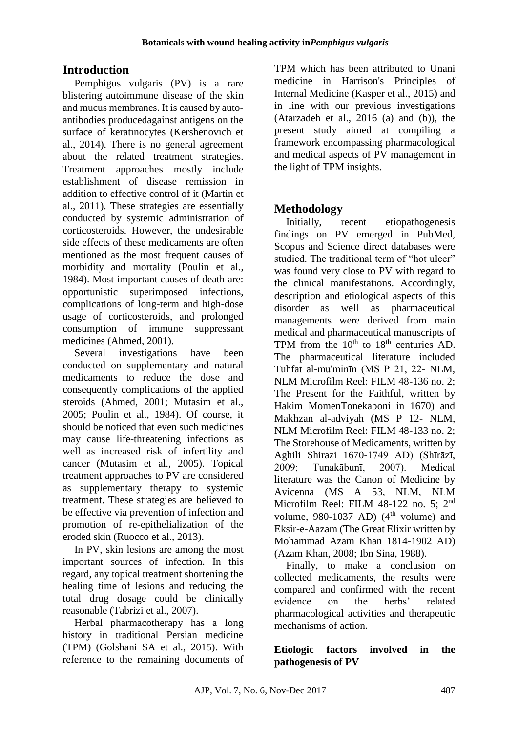# **Introduction**

Pemphigus vulgaris (PV) is a rare blistering autoimmune disease of the skin and mucus membranes. It is caused by autoantibodies producedagainst antigens on the surface of keratinocytes (Kershenovich et al., 2014). There is no general agreement about the related treatment strategies. Treatment approaches mostly include establishment of disease remission in addition to effective control of it (Martin et al., 2011). These strategies are essentially conducted by systemic administration of corticosteroids. However, the undesirable side effects of these medicaments are often mentioned as the most frequent causes of morbidity and mortality (Poulin et al., 1984). Most important causes of death are: opportunistic superimposed infections, complications of long-term and high-dose usage of corticosteroids, and prolonged consumption of immune suppressant medicines (Ahmed, 2001).

Several investigations have been conducted on supplementary and natural medicaments to reduce the dose and consequently complications of the applied steroids (Ahmed, 2001; Mutasim et al., 2005; Poulin et al., 1984). Of course, it should be noticed that even such medicines may cause life-threatening infections as well as increased risk of infertility and cancer (Mutasim et al., 2005). Topical treatment approaches to PV are considered as supplementary therapy to systemic treatment. These strategies are believed to be effective via prevention of infection and promotion of re-epithelialization of the eroded skin (Ruocco et al., 2013).

In PV, skin lesions are among the most important sources of infection. In this regard, any topical treatment shortening the healing time of lesions and reducing the total drug dosage could be clinically reasonable (Tabrizi et al., 2007).

Herbal pharmacotherapy has a long history in traditional Persian medicine (TPM) (Golshani SA et al., 2015). With reference to the remaining documents of

TPM which has been attributed to Unani medicine in Harrison's Principles of Internal Medicine (Kasper et al., 2015) and in line with our previous investigations (Atarzadeh et al.,  $2016$  (a) and (b)), the present study aimed at compiling a framework encompassing pharmacological and medical aspects of PV management in the light of TPM insights.

# **Methodology**

Initially, recent etiopathogenesis findings on PV emerged in PubMed, Scopus and Science direct databases were studied. The traditional term of "hot ulcer" was found very close to PV with regard to the clinical manifestations. Accordingly, description and etiological aspects of this disorder as well as pharmaceutical managements were derived from main medical and pharmaceutical manuscripts of TPM from the  $10^{th}$  to  $18^{th}$  centuries AD. The pharmaceutical literature included Tuhfat al-mu'minīn (MS P 21, 22- NLM, NLM Microfilm Reel: FILM 48-136 no. 2; The Present for the Faithful, written by Hakim MomenTonekaboni in 1670) and Makhzan al-adviyah (MS P 12- NLM, NLM Microfilm Reel: FILM 48-133 no. 2; The Storehouse of Medicaments, written by Aghili Shirazi 1670-1749 AD) (Shīrāzī, 2009; Tunakābunī, 2007). Medical literature was the Canon of Medicine by Avicenna (MS A 53, NLM, NLM Microfilm Reel: FILM 48-122 no. 5; 2nd volume, 980-1037 AD)  $(4<sup>th</sup>$  volume) and Eksir-e-Aazam (The Great Elixir written by Mohammad Azam Khan 1814-1902 AD) (Azam Khan, 2008; Ibn Sina, 1988).

Finally, to make a conclusion on collected medicaments, the results were compared and confirmed with the recent evidence on the herbs' related pharmacological activities and therapeutic mechanisms of action.

### **Etiologic factors involved in the pathogenesis of PV**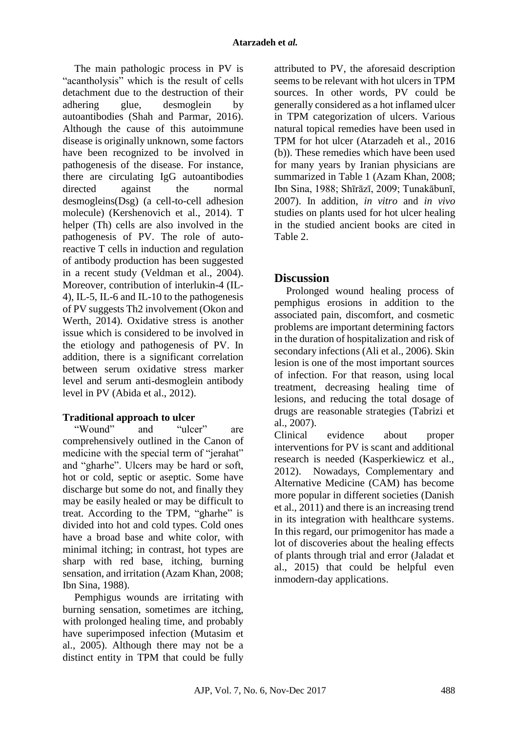The main pathologic process in PV is "acantholysis" which is the result of cells detachment due to the destruction of their adhering glue, desmoglein by autoantibodies (Shah and Parmar, 2016). Although the cause of this autoimmune disease is originally unknown, some factors have been recognized to be involved in pathogenesis of the disease. For instance, there are circulating IgG autoantibodies directed against the normal desmogleins(Dsg) (a cell-to-cell adhesion molecule) (Kershenovich et al., 2014). T helper (Th) cells are also involved in the pathogenesis of PV. The role of autoreactive T cells in induction and regulation of antibody production has been suggested in a recent study (Veldman et al., 2004). Moreover, contribution of interlukin-4 (IL-4), IL-5, IL-6 and IL-10 to the pathogenesis of PV suggests Th2 involvement (Okon and Werth, 2014). Oxidative stress is another issue which is considered to be involved in the etiology and pathogenesis of PV. In addition, there is a significant correlation between serum oxidative stress marker level and serum anti-desmoglein antibody level in PV (Abida et al., 2012).

### **Traditional approach to ulcer**

"Wound" and "ulcer" are comprehensively outlined in the Canon of medicine with the special term of "jerahat" and "gharhe". Ulcers may be hard or soft, hot or cold, septic or aseptic. Some have discharge but some do not, and finally they may be easily healed or may be difficult to treat. According to the TPM, "gharhe" is divided into hot and cold types. Cold ones have a broad base and white color, with minimal itching; in contrast, hot types are sharp with red base, itching, burning sensation, and irritation (Azam Khan, 2008; Ibn Sina, 1988).

Pemphigus wounds are irritating with burning sensation, sometimes are itching, with prolonged healing time, and probably have superimposed infection (Mutasim et al., 2005). Although there may not be a distinct entity in TPM that could be fully

attributed to PV, the aforesaid description seems to be relevant with hot ulcers in TPM sources. In other words, PV could be generally considered as a hot inflamed ulcer in TPM categorization of ulcers. Various natural topical remedies have been used in TPM for hot ulcer (Atarzadeh et al., 2016 (b)). These remedies which have been used for many years by Iranian physicians are summarized in Table 1 (Azam Khan, 2008; Ibn Sina, 1988; Shīrāzī, 2009; Tunakābunī, 2007). In addition, *in vitro* and *in vivo* studies on plants used for hot ulcer healing in the studied ancient books are cited in Table 2.

# **Discussion**

Prolonged wound healing process of pemphigus erosions in addition to the associated pain, discomfort, and cosmetic problems are important determining factors in the duration of hospitalization and risk of secondary infections (Ali et al., 2006). Skin lesion is one of the most important sources of infection. For that reason, using local treatment, decreasing healing time of lesions, and reducing the total dosage of drugs are reasonable strategies (Tabrizi et al., 2007).

Clinical evidence about proper interventions for PV is scant and additional research is needed (Kasperkiewicz et al., 2012). Nowadays, Complementary and Alternative Medicine (CAM) has become more popular in different societies (Danish et al., 2011) and there is an increasing trend in its integration with healthcare systems. In this regard, our primogenitor has made a lot of discoveries about the healing effects of plants through trial and error (Jaladat et al., 2015) that could be helpful even inmodern-day applications.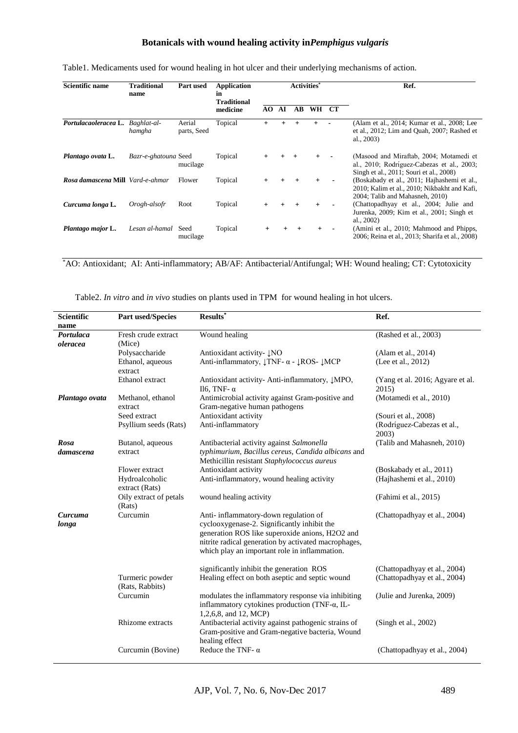### **Botanicals with wound healing activity in***Pemphigus vulgaris*

| Scientific name                         | <b>Traditional</b><br>name | <b>Part used</b>      | <b>Application</b><br>in<br><b>Traditional</b><br>medicine | <b>Activities</b> <sup>*</sup> |        |           |        |           | Ref.                                                                                                                             |
|-----------------------------------------|----------------------------|-----------------------|------------------------------------------------------------|--------------------------------|--------|-----------|--------|-----------|----------------------------------------------------------------------------------------------------------------------------------|
|                                         |                            |                       |                                                            | AO.                            | AI     | AВ        | WH     | <b>CT</b> |                                                                                                                                  |
| Portulacaoleracea L. Baghlat-al-        | hamgha                     | Aerial<br>parts, Seed | Topical                                                    | $^{+}$                         |        |           |        |           | (Alam et al., 2014; Kumar et al., 2008; Lee<br>et al., 2012; Lim and Quah, 2007; Rashed et<br>al., 2003)                         |
| Plantago ovata L.                       | Bazr-e-ghatouna Seed       | mucilage              | Topical                                                    |                                |        |           |        |           | (Masood and Miraftab, 2004; Motamedi et<br>al., 2010; Rodríguez-Cabezas et al., 2003;<br>Singh et al., 2011; Souri et al., 2008) |
| <b>Rosa damascena Mill</b> Vard-e-ahmar |                            | Flower                | Topical                                                    | $^{+}$                         | $^{+}$ | $+$       | $+$    |           | (Boskabady et al., 2011; Hajhashemi et al.,<br>2010; Kalim et al., 2010; Nikbakht and Kafi,<br>2004; Talib and Mahasneh, 2010)   |
| Curcuma longa L.                        | Orogh-alsofr               | Root                  | Topical                                                    | $+$                            |        |           | $^{+}$ |           | (Chattopadhyay et al., 2004; Julie and<br>Jurenka, 2009; Kim et al., 2001; Singh et<br>al., $2002$ )                             |
| Plantago major L.                       | Lesan al-hamal             | Seed<br>mucilage      | Topical                                                    |                                | $^{+}$ | $\ddot{}$ | $+$    |           | (Amini et al., 2010; Mahmood and Phipps,<br>2006; Reina et al., 2013; Sharifa et al., 2008)                                      |

Table1. Medicaments used for wound healing in hot ulcer and their underlying mechanisms of action.

\*AO: Antioxidant; AI: Anti-inflammatory; AB/AF: Antibacterial/Antifungal; WH: Wound healing; CT: Cytotoxicity

Table2. *In vitro* and *in vivo* studies on plants used in TPM for wound healing in hot ulcers.

| Scientific     | <b>Part used/Species</b>    | $Results^*$                                                                        | Ref.                             |  |  |
|----------------|-----------------------------|------------------------------------------------------------------------------------|----------------------------------|--|--|
| name           |                             |                                                                                    |                                  |  |  |
| Portulaca      | Fresh crude extract         | Wound healing                                                                      | (Rashed et al., 2003)            |  |  |
| oleracea       | (Mice)                      |                                                                                    |                                  |  |  |
|                | Polysaccharide              | Antioxidant activity- ĮNO                                                          | (Alam et al., 2014)              |  |  |
|                | Ethanol, aqueous            | Anti-inflammatory, $\downarrow$ TNF- $\alpha$ - $\downarrow$ ROS- $\downarrow$ MCP | (Lee et al., 2012)               |  |  |
|                | extract                     |                                                                                    |                                  |  |  |
|                | Ethanol extract             | Antioxidant activity- Anti-inflammatory, JMPO,                                     | (Yang et al. 2016; Agyare et al. |  |  |
|                |                             | Il <sub>6</sub> , TNF- $α$                                                         | 2015)                            |  |  |
| Plantago ovata | Methanol, ethanol           | Antimicrobial activity against Gram-positive and                                   | (Motamedi et al., 2010)          |  |  |
|                | extract                     | Gram-negative human pathogens                                                      |                                  |  |  |
|                | Seed extract                | Antioxidant activity                                                               | (Souri et al., 2008)             |  |  |
|                | Psyllium seeds (Rats)       | Anti-inflammatory                                                                  | (Rodríguez-Cabezas et al.,       |  |  |
|                |                             |                                                                                    | 2003)                            |  |  |
| Rosa           | Butanol, aqueous            | Antibacterial activity against Salmonella                                          | (Talib and Mahasneh, 2010)       |  |  |
| damascena      | extract                     | typhimurium, Bacillus cereus, Candida albicans and                                 |                                  |  |  |
|                |                             | Methicillin resistant Staphylococcus aureus                                        |                                  |  |  |
|                | Flower extract              | Antioxidant activity                                                               | (Boskabady et al., 2011)         |  |  |
|                | Hydroalcoholic              | Anti-inflammatory, wound healing activity                                          | (Hajhashemi et al., 2010)        |  |  |
|                | extract (Rats)              |                                                                                    |                                  |  |  |
|                | Oily extract of petals      | wound healing activity                                                             | (Fahimi et al., 2015)            |  |  |
|                | (Rats)                      |                                                                                    |                                  |  |  |
| Curcuma        | Curcumin                    | Anti-inflammatory-down regulation of                                               | (Chattopadhyay et al., 2004)     |  |  |
| longa          |                             | cyclooxygenase-2. Significantly inhibit the                                        |                                  |  |  |
|                |                             | generation ROS like superoxide anions, H2O2 and                                    |                                  |  |  |
|                |                             | nitrite radical generation by activated macrophages,                               |                                  |  |  |
|                |                             | which play an important role in inflammation.                                      |                                  |  |  |
|                |                             |                                                                                    |                                  |  |  |
|                |                             | significantly inhibit the generation ROS                                           | (Chattopadhyay et al., 2004)     |  |  |
|                | Turmeric powder             | Healing effect on both aseptic and septic wound                                    | (Chattopadhyay et al., 2004)     |  |  |
|                | (Rats, Rabbits)<br>Curcumin | modulates the inflammatory response via inhibiting                                 | (Julie and Jurenka, 2009)        |  |  |
|                |                             | inflammatory cytokines production (TNF-a, IL-                                      |                                  |  |  |
|                |                             | 1,2,6,8, and 12, MCP)                                                              |                                  |  |  |
|                | Rhizome extracts            | Antibacterial activity against pathogenic strains of                               | (Singh et al., 2002)             |  |  |
|                |                             | Gram-positive and Gram-negative bacteria, Wound                                    |                                  |  |  |
|                |                             | healing effect                                                                     |                                  |  |  |
|                | Curcumin (Bovine)           | Reduce the TNF- $\alpha$                                                           | (Chattopadhyay et al., 2004)     |  |  |
|                |                             |                                                                                    |                                  |  |  |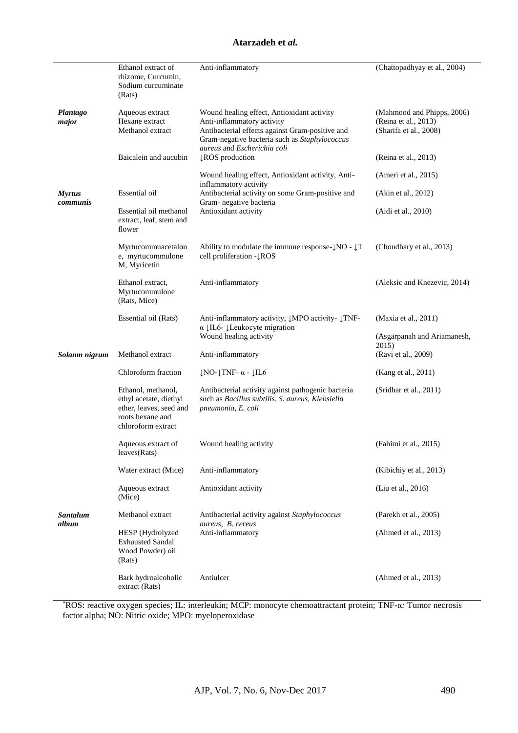l.

|                           | Ethanol extract of<br>rhizome, Curcumin,<br>Sodium curcuminate<br>(Rats)                                          | Anti-inflammatory                                                                                                                                                            | (Chattopadhyay et al., 2004)                                                 |
|---------------------------|-------------------------------------------------------------------------------------------------------------------|------------------------------------------------------------------------------------------------------------------------------------------------------------------------------|------------------------------------------------------------------------------|
| Plantago<br>major         | Aqueous extract<br>Hexane extract<br>Methanol extract                                                             | Wound healing effect, Antioxidant activity<br>Anti-inflammatory activity<br>Antibacterial effects against Gram-positive and<br>Gram-negative bacteria such as Staphylococcus | (Mahmood and Phipps, 2006)<br>(Reina et al., 2013)<br>(Sharifa et al., 2008) |
|                           | Baicalein and aucubin                                                                                             | aureus and Escherichia coli<br><b>LROS</b> production                                                                                                                        | (Reina et al., 2013)                                                         |
| <b>Myrtus</b><br>communis | Essential oil                                                                                                     | Wound healing effect, Antioxidant activity, Anti-<br>inflammatory activity<br>Antibacterial activity on some Gram-positive and<br>Gram- negative bacteria                    | (Ameri et al., 2015)<br>(Akin et al., 2012)                                  |
|                           | Essential oil methanol<br>extract, leaf, stem and<br>flower                                                       | Antioxidant activity                                                                                                                                                         | (Aidi et al., 2010)                                                          |
|                           | Myrtucommuacetalon<br>e, myrtucommulone<br>M, Myricetin                                                           | Ability to modulate the immune response- $\downarrow$ NO - $\downarrow$ T<br>cell proliferation - LROS                                                                       | (Choudhary et al., 2013)                                                     |
|                           | Ethanol extract,<br>Myrtucommulone<br>(Rats, Mice)                                                                | Anti-inflammatory                                                                                                                                                            | (Aleksic and Knezevic, 2014)                                                 |
|                           | Essential oil (Rats)                                                                                              | Anti-inflammatory activity, JMPO activity- JTNF-<br>$\alpha$ JIL6- JLeukocyte migration<br>Wound healing activity                                                            | (Maxia et al., 2011)<br>(Asgarpanah and Ariamanesh,                          |
|                           |                                                                                                                   |                                                                                                                                                                              | 2015)                                                                        |
| Solanm nigrum             | Methanol extract                                                                                                  | Anti-inflammatory                                                                                                                                                            | (Ravi et al., 2009)                                                          |
|                           | Chloroform fraction                                                                                               | $\downarrow$ NO- $\downarrow$ TNF- $\alpha$ - $\downarrow$ IL6                                                                                                               | (Kang et al., 2011)                                                          |
|                           | Ethanol, methanol,<br>ethyl acetate, diethyl<br>ether, leaves, seed and<br>roots hexane and<br>chloroform extract | Antibacterial activity against pathogenic bacteria<br>such as Bacillus subtilis, S. aureus, Klebsiella<br>pneumonia, E. coli                                                 | (Sridhar et al., 2011)                                                       |
|                           | Aqueous extract of<br>leaves(Rats)                                                                                | Wound healing activity                                                                                                                                                       | (Fahimi et al., 2015)                                                        |
|                           | Water extract (Mice)                                                                                              | Anti-inflammatory                                                                                                                                                            | (Kibichiy et al., 2013)                                                      |
|                           | Aqueous extract<br>(Mice)                                                                                         | Antioxidant activity                                                                                                                                                         | (Liu et al., 2016)                                                           |
| Santalum<br>album         | Methanol extract                                                                                                  | Antibacterial activity against Staphylococcus<br>aureus, B. cereus                                                                                                           | (Parekh et al., 2005)                                                        |
|                           | HESP (Hydrolyzed<br><b>Exhausted Sandal</b><br>Wood Powder) oil<br>(Rats)                                         | Anti-inflammatory                                                                                                                                                            | (Ahmed et al., 2013)                                                         |
|                           | Bark hydroalcoholic<br>extract (Rats)                                                                             | Antiulcer                                                                                                                                                                    | (Ahmed et al., 2013)                                                         |

\*ROS: reactive oxygen species; IL: interleukin; MCP: monocyte chemoattractant protein; TNF-α*:* Tumor necrosis factor alpha; NO: Nitric oxide; MPO: myeloperoxidase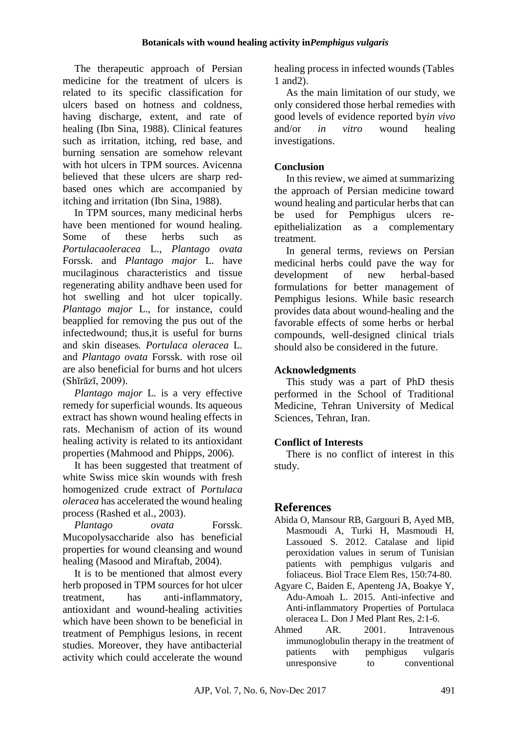The therapeutic approach of Persian medicine for the treatment of ulcers is related to its specific classification for ulcers based on hotness and coldness, having discharge, extent, and rate of healing (Ibn Sina, 1988). Clinical features such as irritation, itching, red base, and burning sensation are somehow relevant with hot ulcers in TPM sources. Avicenna believed that these ulcers are sharp redbased ones which are accompanied by itching and irritation (Ibn Sina, 1988).

In TPM sources, many medicinal herbs have been mentioned for wound healing. Some of these herbs such as *Portulacaoleracea* L., *Plantago ovata*  Forssk. and *Plantago major* L. have mucilaginous characteristics and tissue regenerating ability andhave been used for hot swelling and hot ulcer topically. *Plantago major* L., for instance, could beapplied for removing the pus out of the infectedwound; thus,it is useful for burns and skin diseases*. Portulaca oleracea* L. and *Plantago ovata* Forssk. with rose oil are also beneficial for burns and hot ulcers (Shīrāzī, 2009).

*Plantago major* L. is a very effective remedy for superficial wounds. Its aqueous extract has shown wound healing effects in rats. Mechanism of action of its wound healing activity is related to its antioxidant properties (Mahmood and Phipps, 2006).

It has been suggested that treatment of white Swiss mice skin wounds with fresh homogenized crude extract of *Portulaca oleracea* has accelerated the wound healing process (Rashed et al., 2003).

*Plantago ovata* Forssk. Mucopolysaccharide also has beneficial properties for wound cleansing and wound healing (Masood and Miraftab, 2004).

It is to be mentioned that almost every herb proposed in TPM sources for hot ulcer treatment, has anti-inflammatory, antioxidant and wound-healing activities which have been shown to be beneficial in treatment of Pemphigus lesions, in recent studies. Moreover, they have antibacterial activity which could accelerate the wound

healing process in infected wounds (Tables 1 and2).

As the main limitation of our study, we only considered those herbal remedies with good levels of evidence reported by*in vivo* and/or *in vitro* wound healing investigations.

# **Conclusion**

In this review, we aimed at summarizing the approach of Persian medicine toward wound healing and particular herbs that can be used for Pemphigus ulcers reepithelialization as a complementary treatment.

In general terms, reviews on Persian medicinal herbs could pave the way for development of new herbal-based formulations for better management of Pemphigus lesions. While basic research provides data about wound-healing and the favorable effects of some herbs or herbal compounds, well-designed clinical trials should also be considered in the future.

## **Acknowledgments**

This study was a part of PhD thesis performed in the School of Traditional Medicine, Tehran University of Medical Sciences, Tehran, Iran.

## **Conflict of Interests**

There is no conflict of interest in this study.

# **References**

- Abida O, Mansour RB, Gargouri B, Ayed MB, Masmoudi A, Turki H, Masmoudi H, Lassoued S. 2012. Catalase and lipid peroxidation values in serum of Tunisian patients with pemphigus vulgaris and foliaceus. Biol Trace Elem Res, 150:74-80.
- Agyare C, Baiden E, Apenteng JA, Boakye Y, Adu-Amoah L. 2015. Anti-infective and Anti-inflammatory Properties of Portulaca oleracea L. Don J Med Plant Res, 2:1-6.
- Ahmed AR. 2001. Intravenous immunoglobulin therapy in the treatment of patients with pemphigus vulgaris unresponsive to conventional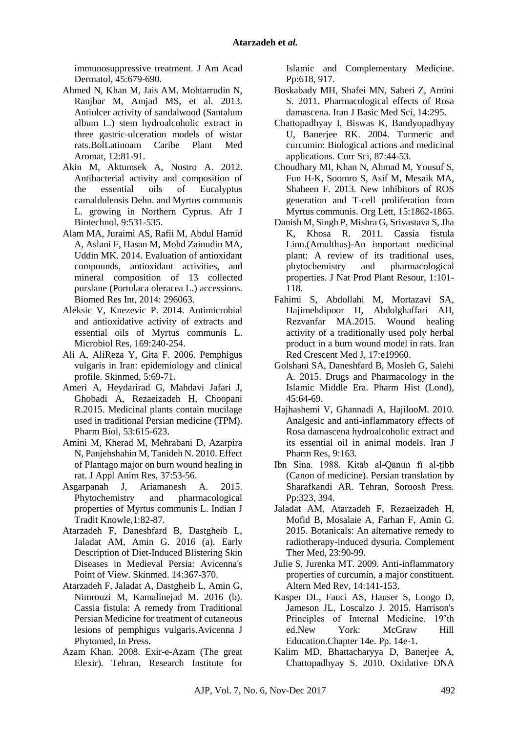immunosuppressive treatment. J Am Acad Dermatol, 45:679-690.

- Ahmed N, Khan M, Jais AM, Mohtarrudin N, Ranjbar M, Amjad MS, et al. 2013. Antiulcer activity of sandalwood (Santalum album L.) stem hydroalcoholic extract in three gastric-ulceration models of wistar rats.BolLatinoam Caribe Plant Med Aromat, 12:81-91.
- Akin M, Aktumsek A, Nostro A. 2012. Antibacterial activity and composition of the essential oils of Eucalyptus camaldulensis Dehn. and Myrtus communis L. growing in Northern Cyprus. Afr J Biotechnol, 9:531-535.
- Alam MA, Juraimi AS, Rafii M, Abdul Hamid A, Aslani F, Hasan M, Mohd Zainudin MA, Uddin MK. 2014. Evaluation of antioxidant compounds, antioxidant activities, and mineral composition of 13 collected purslane (Portulaca oleracea L.) accessions. Biomed Res Int, 2014: 296063.
- Aleksic V, Knezevic P. 2014. Antimicrobial and antioxidative activity of extracts and essential oils of Myrtus communis L. Microbiol Res, 169:240-254.
- Ali A, AliReza Y, Gita F. 2006. Pemphigus vulgaris in Iran: epidemiology and clinical profile. Skinmed, 5:69-71.
- Ameri A, Heydarirad G, Mahdavi Jafari J, Ghobadi A, Rezaeizadeh H, Choopani R.2015. Medicinal plants contain mucilage used in traditional Persian medicine (TPM). Pharm Biol, 53:615-623.
- Amini M, Kherad M, Mehrabani D, Azarpira N, Panjehshahin M, Tanideh N. 2010. Effect of Plantago major on burn wound healing in rat. J Appl Anim Res, 37:53-56.
- Asgarpanah J, Ariamanesh A. 2015. Phytochemistry and pharmacological properties of Myrtus communis L. Indian J Tradit Knowle,1:82-87.
- Atarzadeh F, Daneshfard B, Dastgheib L, Jaladat AM, Amin G. 2016 (a). Early Description of Diet-Induced Blistering Skin Diseases in Medieval Persia: Avicenna's Point of View. Skinmed. 14:367-370.
- Atarzadeh F, Jaladat A, Dastgheib L, Amin G, Nimrouzi M, Kamalinejad M. 2016 (b). Cassia fistula: A remedy from Traditional Persian Medicine for treatment of cutaneous lesions of pemphigus vulgaris.Avicenna J Phytomed, In Press.
- Azam Khan. 2008. Exir-e-Azam (The great Elexir). Tehran, Research Institute for

Islamic and Complementary Medicine. Pp:618, 917.

- Boskabady MH, Shafei MN, Saberi Z, Amini S. 2011. Pharmacological effects of Rosa damascena. Iran J Basic Med Sci, 14:295.
- Chattopadhyay I, Biswas K, Bandyopadhyay U, Banerjee RK. 2004. Turmeric and curcumin: Biological actions and medicinal applications. Curr Sci, 87:44-53.
- Choudhary MI, Khan N, Ahmad M, Yousuf S, Fun H-K, Soomro S, Asif M, Mesaik MA, Shaheen F. 2013. New inhibitors of ROS generation and T-cell proliferation from Myrtus communis. Org Lett, 15:1862-1865.
- Danish M, Singh P, Mishra G, Srivastava S, Jha K, Khosa R. 2011. Cassia fistula Linn.(Amulthus)-An important medicinal plant: A review of its traditional uses, phytochemistry and pharmacological properties. J Nat Prod Plant Resour, 1:101- 118.
- Fahimi S, Abdollahi M, Mortazavi SA, Hajimehdipoor H, Abdolghaffari AH, Rezvanfar MA.2015. Wound healing activity of a traditionally used poly herbal product in a burn wound model in rats. Iran Red Crescent Med J, 17:e19960.
- Golshani SA, Daneshfard B, Mosleh G, Salehi A. 2015. Drugs and Pharmacology in the Islamic Middle Era. Pharm Hist (Lond),  $45:64-69.$
- Hajhashemi V, Ghannadi A, HajilooM. 2010. Analgesic and anti-inflammatory effects of Rosa damascena hydroalcoholic extract and its essential oil in animal models. Iran J Pharm Res, 9:163.
- Ibn Sina. 1988. Kitāb al-Qānūn fī al-ṭibb (Canon of medicine). Persian translation by Sharafkandi AR. Tehran, Soroosh Press. Pp:323, 394.
- Jaladat AM, Atarzadeh F, Rezaeizadeh H, Mofid B, Mosalaie A, Farhan F, Amin G. 2015. Botanicals: An alternative remedy to radiotherapy-induced dysuria. Complement Ther Med, 23:90-99.
- Julie S, Jurenka MT. 2009. Anti-inflammatory properties of curcumin, a major constituent. Altern Med Rev, 14:141-153.
- Kasper DL, Fauci AS, Hauser S, Longo D, Jameson JL, Loscalzo J. 2015. Harrison's Principles of Internal Medicine. 19'th ed.New York: McGraw Hill Education.Chapter 14e. Pp. 14e-1.
- Kalim MD, Bhattacharyya D, Banerjee A, Chattopadhyay S. 2010. Oxidative DNA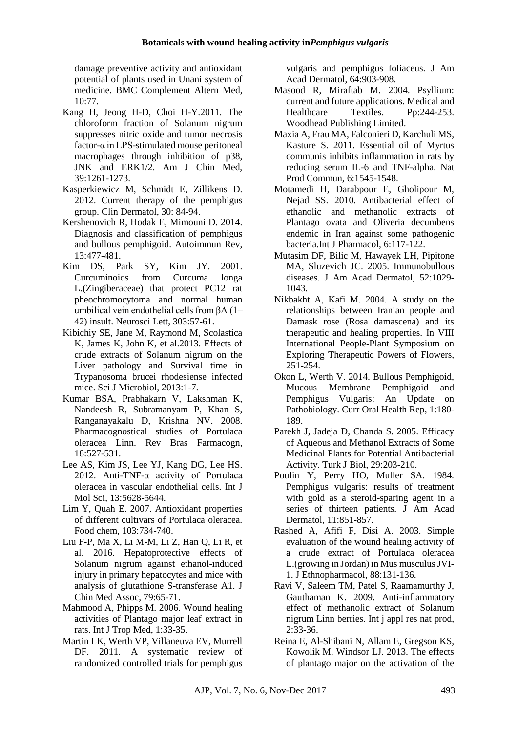damage preventive activity and antioxidant potential of plants used in Unani system of medicine. BMC Complement Altern Med, 10:77.

- Kang H, Jeong H-D, Choi H-Y.2011. The chloroform fraction of Solanum nigrum suppresses nitric oxide and tumor necrosis factor- $\alpha$  in LPS-stimulated mouse peritoneal macrophages through inhibition of p38, JNK and ERK1/2. Am J Chin Med, 39:1261-1273.
- Kasperkiewicz M, Schmidt E, Zillikens D. 2012. Current therapy of the pemphigus group. Clin Dermatol, 30: 84-94.
- Kershenovich R, Hodak E, Mimouni D. 2014. Diagnosis and classification of pemphigus and bullous pemphigoid. Autoimmun Rev, 13:477-481.
- Kim DS, Park SY, Kim JY. 2001. Curcuminoids from Curcuma longa L.(Zingiberaceae) that protect PC12 rat pheochromocytoma and normal human umbilical vein endothelial cells from βA (1– 42) insult. Neurosci Lett, 303:57-61.
- Kibichiy SE, Jane M, Raymond M, Scolastica K, James K, John K, et al.2013. Effects of crude extracts of Solanum nigrum on the Liver pathology and Survival time in Trypanosoma brucei rhodesiense infected mice. Sci J Microbiol, 2013:1-7.
- Kumar BSA, Prabhakarn V, Lakshman K, Nandeesh R, Subramanyam P, Khan S, Ranganayakalu D, Krishna NV. 2008. Pharmacognostical studies of Portulaca oleracea Linn. Rev Bras Farmacogn, 18:527-531.
- Lee AS, Kim JS, Lee YJ, Kang DG, Lee HS. 2012. Anti-TNF-α activity of Portulaca oleracea in vascular endothelial cells. Int J Mol Sci, 13:5628-5644.
- Lim Y, Quah E. 2007. Antioxidant properties of different cultivars of Portulaca oleracea. Food chem, 103:734-740.
- Liu F-P, Ma X, Li M-M, Li Z, Han Q, Li R, et al. 2016. Hepatoprotective effects of Solanum nigrum against ethanol-induced injury in primary hepatocytes and mice with analysis of glutathione S-transferase A1. J Chin Med Assoc, 79:65-71.
- Mahmood A, Phipps M. 2006. Wound healing activities of Plantago major leaf extract in rats. Int J Trop Med, 1:33-35.
- Martin LK, Werth VP, Villaneuva EV, Murrell DF. 2011. A systematic review of randomized controlled trials for pemphigus

vulgaris and pemphigus foliaceus. J Am Acad Dermatol, 64:903-908.

- Masood R, Miraftab M. 2004. Psyllium: current and future applications. Medical and Healthcare Textiles. Pp:244-253. Woodhead Publishing Limited.
- Maxia A, Frau MA, Falconieri D, Karchuli MS, Kasture S. 2011. Essential oil of Myrtus communis inhibits inflammation in rats by reducing serum IL-6 and TNF-alpha. Nat Prod Commun, 6:1545-1548.
- Motamedi H, Darabpour E, Gholipour M, Nejad SS. 2010. Antibacterial effect of ethanolic and methanolic extracts of Plantago ovata and Oliveria decumbens endemic in Iran against some pathogenic bacteria.Int J Pharmacol, 6:117-122.
- Mutasim DF, Bilic M, Hawayek LH, Pipitone MA, Sluzevich JC. 2005. Immunobullous diseases. J Am Acad Dermatol, 52:1029- 1043.
- Nikbakht A, Kafi M. 2004. A study on the relationships between Iranian people and Damask rose (Rosa damascena) and its therapeutic and healing properties. In VIII International People-Plant Symposium on Exploring Therapeutic Powers of Flowers, 251-254.
- Okon L, Werth V. 2014. Bullous Pemphigoid, Mucous Membrane Pemphigoid and Pemphigus Vulgaris: An Update on Pathobiology. Curr Oral Health Rep, 1:180- 189.
- Parekh J, Jadeja D, Chanda S. 2005. Efficacy of Aqueous and Methanol Extracts of Some Medicinal Plants for Potential Antibacterial Activity. Turk J Biol, 29:203-210.
- Poulin Y, Perry HO, Muller SA. 1984. Pemphigus vulgaris: results of treatment with gold as a steroid-sparing agent in a series of thirteen patients. J Am Acad Dermatol, 11:851-857.
- Rashed A, Afifi F, Disi A. 2003. Simple evaluation of the wound healing activity of a crude extract of Portulaca oleracea L.(growing in Jordan) in Mus musculus JVI-1. J Ethnopharmacol, 88:131-136.
- Ravi V, Saleem TM, Patel S, Raamamurthy J, Gauthaman K. 2009. Anti-inflammatory effect of methanolic extract of Solanum nigrum Linn berries. Int j appl res nat prod, 2:33-36.
- Reina E, Al-Shibani N, Allam E, Gregson KS, Kowolik M, Windsor LJ. 2013. The effects of plantago major on the activation of the